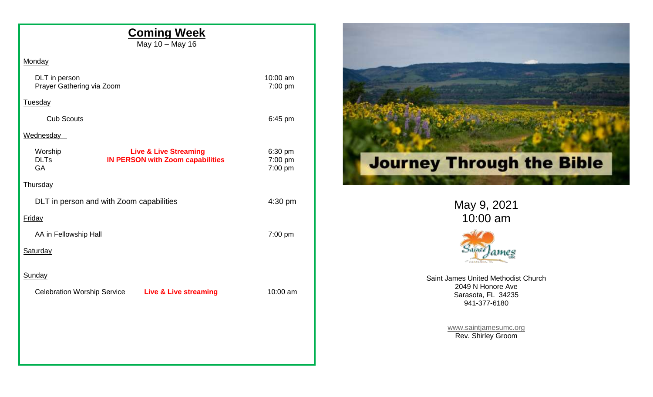| <b>Coming Week</b><br>May 10 - May 16                                                                       |                               |                                                         |
|-------------------------------------------------------------------------------------------------------------|-------------------------------|---------------------------------------------------------|
| Monday                                                                                                      |                               |                                                         |
| DLT in person<br>Prayer Gathering via Zoom                                                                  | 10:00 am<br>7:00 pm           |                                                         |
| <b>Tuesday</b>                                                                                              |                               |                                                         |
| <b>Cub Scouts</b>                                                                                           | 6:45 pm                       |                                                         |
| Wednesday                                                                                                   |                               |                                                         |
| <b>Live &amp; Live Streaming</b><br>Worship<br><b>DLTs</b><br><b>IN PERSON with Zoom capabilities</b><br>GA | 6:30 pm<br>7:00 pm<br>7:00 pm | <b>Journey Through the Bible</b>                        |
| <b>Thursday</b>                                                                                             |                               |                                                         |
| DLT in person and with Zoom capabilities                                                                    | 4:30 pm                       | May 9, 2021                                             |
| Friday                                                                                                      |                               | 10:00 am                                                |
| AA in Fellowship Hall                                                                                       | 7:00 pm                       |                                                         |
| Saturday                                                                                                    |                               | $24$ <i>inti</i>                                        |
| Sunday                                                                                                      |                               | Saint James United Methodist Church                     |
| <b>Celebration Worship Service</b><br><b>Live &amp; Live streaming</b>                                      | 10:00 am                      | 2049 N Honore Ave<br>Sarasota, FL 34235<br>941-377-6180 |
|                                                                                                             |                               | www.saintjamesumc.org<br>Rev. Shirley Groom             |
|                                                                                                             |                               |                                                         |